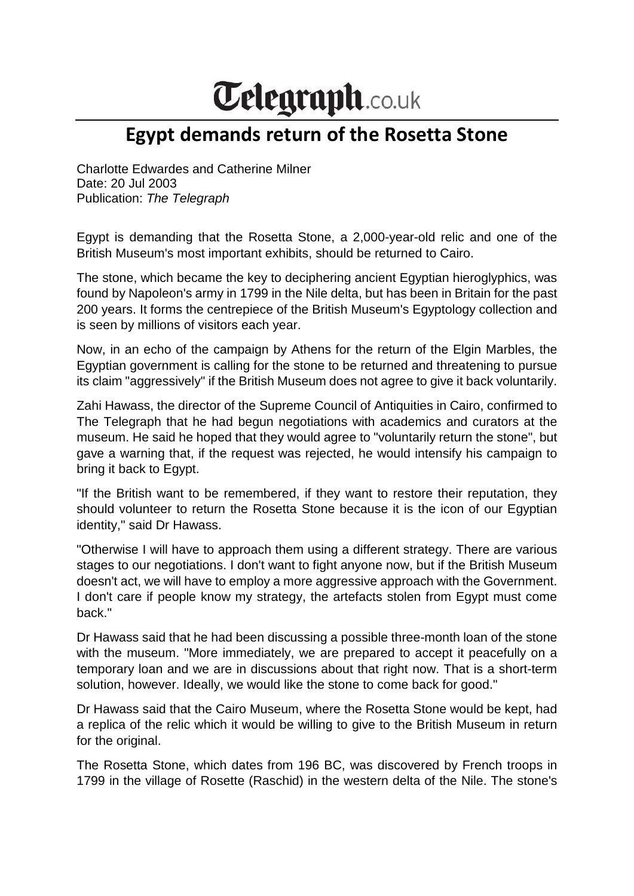## **Telegraph.co.uk**

## **Egypt demands return of the Rosetta Stone**

Charlotte Edwardes and Catherine Milner Date: 20 Jul 2003 Publication: *The Telegraph*

Egypt is demanding that the Rosetta Stone, a 2,000-year-old relic and one of the British Museum's most important exhibits, should be returned to Cairo.

The stone, which became the key to deciphering ancient Egyptian hieroglyphics, was found by Napoleon's army in 1799 in the Nile delta, but has been in Britain for the past 200 years. It forms the centrepiece of the British Museum's Egyptology collection and is seen by millions of visitors each year.

Now, in an echo of the campaign by Athens for the return of the Elgin Marbles, the Egyptian government is calling for the stone to be returned and threatening to pursue its claim "aggressively" if the British Museum does not agree to give it back voluntarily.

Zahi Hawass, the director of the Supreme Council of Antiquities in Cairo, confirmed to The Telegraph that he had begun negotiations with academics and curators at the museum. He said he hoped that they would agree to "voluntarily return the stone", but gave a warning that, if the request was rejected, he would intensify his campaign to bring it back to Egypt.

"If the British want to be remembered, if they want to restore their reputation, they should volunteer to return the Rosetta Stone because it is the icon of our Egyptian identity," said Dr Hawass.

"Otherwise I will have to approach them using a different strategy. There are various stages to our negotiations. I don't want to fight anyone now, but if the British Museum doesn't act, we will have to employ a more aggressive approach with the Government. I don't care if people know my strategy, the artefacts stolen from Egypt must come back."

Dr Hawass said that he had been discussing a possible three-month loan of the stone with the museum. "More immediately, we are prepared to accept it peacefully on a temporary loan and we are in discussions about that right now. That is a short-term solution, however. Ideally, we would like the stone to come back for good."

Dr Hawass said that the Cairo Museum, where the Rosetta Stone would be kept, had a replica of the relic which it would be willing to give to the British Museum in return for the original.

The Rosetta Stone, which dates from 196 BC, was discovered by French troops in 1799 in the village of Rosette (Raschid) in the western delta of the Nile. The stone's